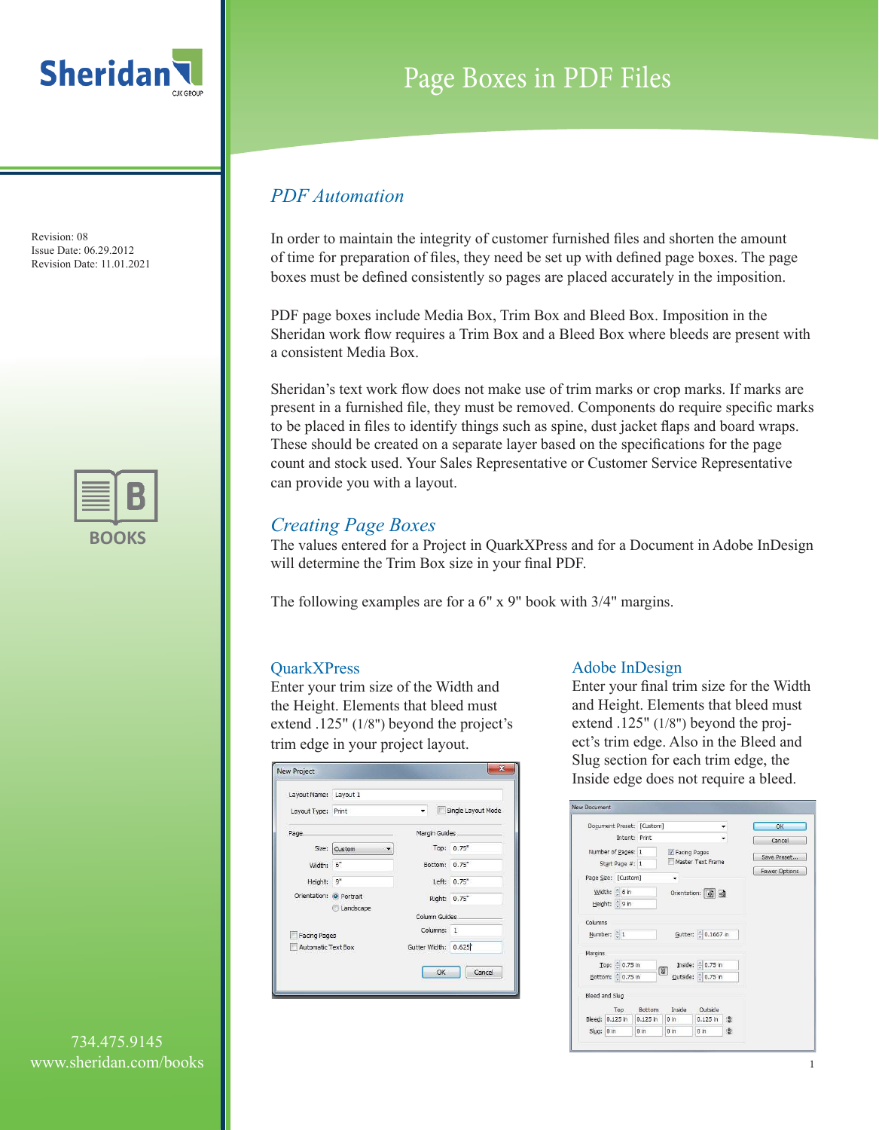



## Page Boxes in PDF Files

### *PDF Automation*

In order to maintain the integrity of customer furnished files and shorten the amount of time for preparation of files, they need be set up with defined page boxes. The page boxes must be defined consistently so pages are placed accurately in the imposition.

PDF page boxes include Media Box, Trim Box and Bleed Box. Imposition in the Sheridan work flow requires a Trim Box and a Bleed Box where bleeds are present with a consistent Media Box.

Sheridan's text work flow does not make use of trim marks or crop marks. If marks are present in a furnished file, they must be removed. Components do require specific marks to be placed in files to identify things such as spine, dust jacket flaps and board wraps. These should be created on a separate layer based on the specifications for the page count and stock used. Your Sales Representative or Customer Service Representative can provide you with a layout.

### *Creating Page Boxes*

The values entered for a Project in QuarkXPress and for a Document in Adobe InDesign will determine the Trim Box size in your final PDF.

The following examples are for a 6" x 9" book with 3/4" margins.

#### **QuarkXPress**

Enter your trim size of the Width and the Height. Elements that bleed must extend .125" (1/8") beyond the project's trim edge in your project layout.

| Layout Name: Layout 1     |                   |                     |                    |
|---------------------------|-------------------|---------------------|--------------------|
| Layout Type: Print        |                   |                     | Single Layout Mode |
| Page.                     |                   | Margin Guides       |                    |
|                           | Size: Custom<br>▼ |                     | Top: 0.75"         |
| Width:                    | 6"                | Bottom: 0.75"       |                    |
| Height: 9"                |                   |                     | Left: 0.75"        |
| Orientation: O Portrait   |                   |                     | Right: 0.75"       |
|                           | Landscape         | Column Guides       |                    |
| <b>Facing Pages</b>       |                   | Columns: 1          |                    |
| <b>Automatic Text Box</b> |                   | Gutter Width: 0.625 |                    |

#### Adobe InDesign

Enter your final trim size for the Width and Height. Elements that bleed must extend .125" (1/8") beyond the project's trim edge. Also in the Bleed and Slug section for each trim edge, the Inside edge does not require a bleed.

|                | Document Preset: [Custom]             |            |                |                     |   | OK                   |
|----------------|---------------------------------------|------------|----------------|---------------------|---|----------------------|
|                | Intent: Print                         |            |                |                     |   | Cancel               |
|                | Number of Pages: 1<br>Start Page #: 1 |            | V Facing Pages | Master Text Frame   |   | Save Preset          |
|                |                                       |            |                |                     |   | <b>Fewer Options</b> |
|                | Page Size: [Custom]                   |            |                |                     |   |                      |
|                | Width: 6 in                           |            |                | Orientation: (前 d)  |   |                      |
|                | Height: 9 in                          |            |                |                     |   |                      |
|                |                                       |            |                |                     |   |                      |
| Columns        |                                       |            |                |                     |   |                      |
|                | Number: $\frac{1}{2}$ 1               |            |                | Gutter: 2 0.1667 in |   |                      |
| Margins        |                                       |            |                |                     |   |                      |
|                | Top: 0.75 in                          |            |                | Inside: 0.75 in     |   |                      |
|                | Bottom: 0.75 in                       |            | <b>B</b>       | Qutside: 0.75 in    |   |                      |
|                |                                       |            |                |                     |   |                      |
| Bleed and Slug |                                       |            |                |                     |   |                      |
|                | Top                                   | Bottom     | Inside         | Outside             |   |                      |
|                | Bleed: 0.125 in                       | $0.125$ in | $0 \text{ in}$ | $0.125$ in          | 邊 |                      |
|                |                                       |            |                |                     |   |                      |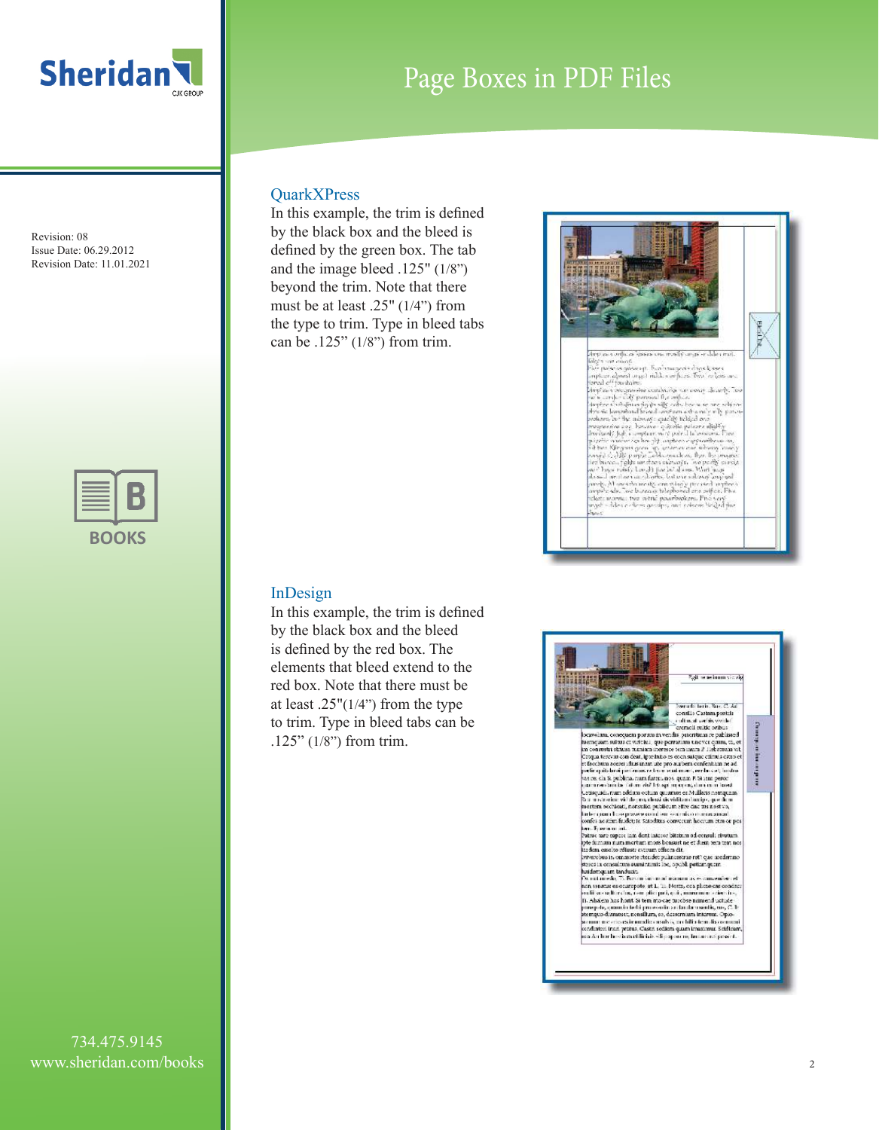

| п | ı<br>$\overline{\phantom{a}}$<br>U. |
|---|-------------------------------------|

#### **QuarkXPress**

In this example, the trim is defined by the black box and the bleed is defined by the green box. The tab and the image bleed .125" (1/8") beyond the trim. Note that there must be at least .25" (1/4") from the type to trim. Type in bleed tabs can be .125" (1/8") from trim.



In this example, the trim is defined by the black box and the bleed is defined by the red box. The elements that bleed extend to the red box. Note that there must be at least  $.25''(1/4")$  from the type to trim. Type in bleed tabs can be .125" (1/8") from trim.





## Page Boxes in PDF Files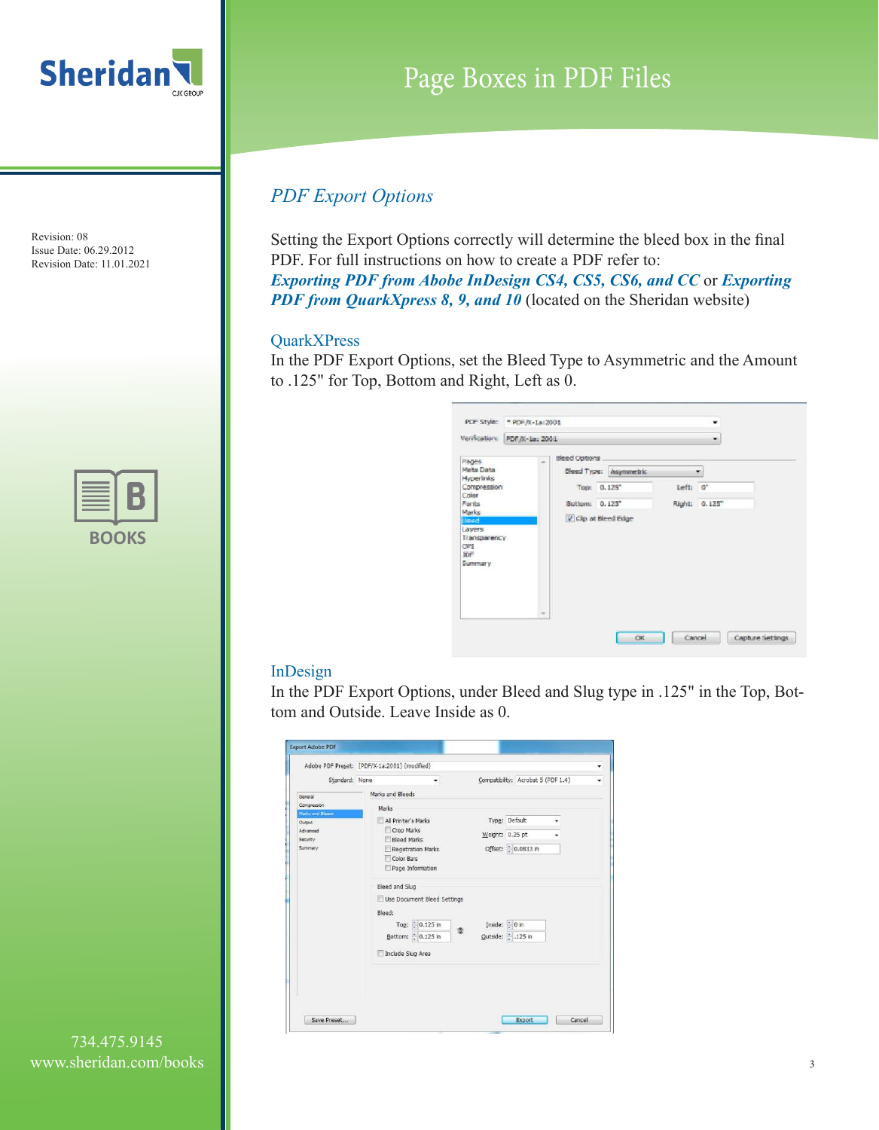



# Page Boxes in PDF Files

## *PDF Export Options*

Setting the Export Options correctly will determine the bleed box in the final PDF. For full instructions on how to create a PDF refer to: *Exporting PDF from Abobe InDesign CS4, CS5, CS6, and CC* or *Exporting*  **PDF from QuarkXpress 8, 9, and 10** (located on the Sheridan website)

### QuarkXPress

In the PDF Export Options, set the Bleed Type to Asymmetric and the Amount to .125" for Top, Bottom and Right, Left as 0.

| Verification:<br>PDF/X-1a: 2001                                                                                                                       |                                                                                                                          |       | ۰                           |  |
|-------------------------------------------------------------------------------------------------------------------------------------------------------|--------------------------------------------------------------------------------------------------------------------------|-------|-----------------------------|--|
| Pages<br>Meita Data<br>Hyperlinks<br>Compression<br>Color<br>Fonts<br>Marks<br><b>Sleed</b><br>Lawers<br>Transparency<br>CPI<br><b>IDF</b><br>Summary | Bleed Options<br>ä,<br><b>Eleed Type: Asymmetric</b><br>Top: 0.125*<br>Bottom: 0.125"<br>V Clp at Bleed Edge<br>$\equiv$ | Left: | ÷<br>$0^*$<br>Right: 0.125" |  |

### InDesign

In the PDF Export Options, under Bleed and Slug type in .125" in the Top, Bottom and Outside. Leave Inside as 0.

|                            | Adobe PDF Preset: [PDF/X-1a:2001] (modified) |              |                                    |  |
|----------------------------|----------------------------------------------|--------------|------------------------------------|--|
| Standard: None             | ۰                                            |              | Compatibility: Acrobat 5 (PDF 1.4) |  |
| General                    | Marks and Bleeds                             |              |                                    |  |
| Compression                | <b>Marks</b>                                 |              |                                    |  |
| Marks and Bleeds<br>Output | All Printer's Marks                          |              | Type: Default                      |  |
| Advanced                   | Crop Marks                                   |              | Weight: $0.25$ pt                  |  |
| Security<br>Summary        | <b>Bleed Marks</b>                           |              |                                    |  |
|                            | Registration Marks<br>Color Rars             |              | Offset: 0.0833 in                  |  |
|                            | Page Information                             |              |                                    |  |
|                            |                                              |              |                                    |  |
|                            | Bleed and Slug                               |              |                                    |  |
|                            | Use Document Bleed Settings                  |              |                                    |  |
|                            | Bleed:                                       |              |                                    |  |
|                            | Top: 0.125 in<br>辈                           | Inside: 0 in |                                    |  |
|                            | Bottom: 0.125 in                             |              | Qutside: 125 in                    |  |
|                            | Include Slug Area                            |              |                                    |  |
|                            |                                              |              |                                    |  |
|                            |                                              |              |                                    |  |
|                            |                                              |              |                                    |  |
|                            |                                              |              |                                    |  |